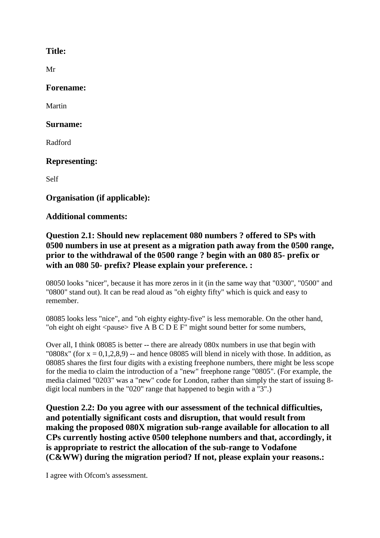### **Title:**

Mr

### **Forename:**

Martin

#### **Surname:**

Radford

## **Representing:**

Self

# **Organisation (if applicable):**

## **Additional comments:**

# **Question 2.1: Should new replacement 080 numbers ? offered to SPs with 0500 numbers in use at present as a migration path away from the 0500 range, prior to the withdrawal of the 0500 range ? begin with an 080 85- prefix or with an 080 50- prefix? Please explain your preference. :**

08050 looks "nicer", because it has more zeros in it (in the same way that "0300", "0500" and "0800" stand out). It can be read aloud as "oh eighty fifty" which is quick and easy to remember.

08085 looks less "nice", and "oh eighty eighty-five" is less memorable. On the other hand, "oh eight oh eight <pause> five A B C D E F" might sound better for some numbers,

Over all, I think 08085 is better -- there are already 080x numbers in use that begin with "0808x" (for  $x = 0.1, 2.8, 9$ ) -- and hence 08085 will blend in nicely with those. In addition, as 08085 shares the first four digits with a existing freephone numbers, there might be less scope for the media to claim the introduction of a "new" freephone range "0805". (For example, the media claimed "0203" was a "new" code for London, rather than simply the start of issuing 8 digit local numbers in the "020" range that happened to begin with a "3".)

**Question 2.2: Do you agree with our assessment of the technical difficulties, and potentially significant costs and disruption, that would result from making the proposed 080X migration sub-range available for allocation to all CPs currently hosting active 0500 telephone numbers and that, accordingly, it is appropriate to restrict the allocation of the sub-range to Vodafone (C&WW) during the migration period? If not, please explain your reasons.:**

I agree with Ofcom's assessment.